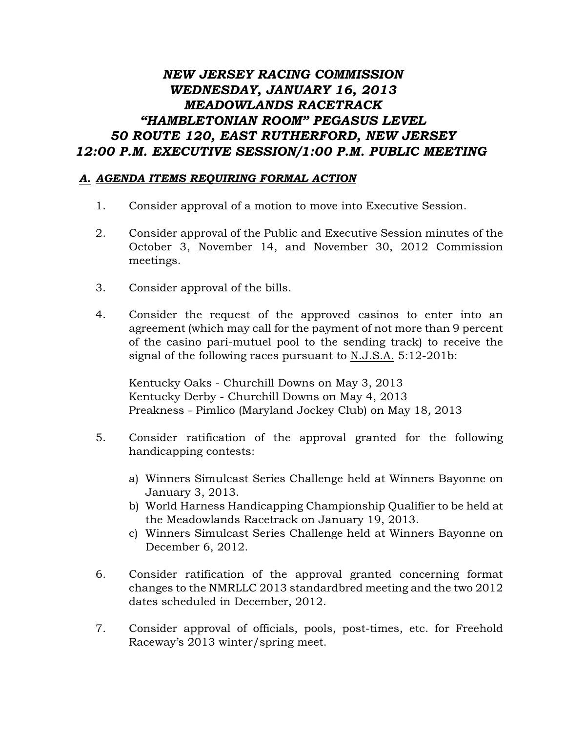## *NEW JERSEY RACING COMMISSION WEDNESDAY, JANUARY 16, 2013 MEADOWLANDS RACETRACK "HAMBLETONIAN ROOM" PEGASUS LEVEL 50 ROUTE 120, EAST RUTHERFORD, NEW JERSEY 12:00 P.M. EXECUTIVE SESSION/1:00 P.M. PUBLIC MEETING*

## *A. AGENDA ITEMS REQUIRING FORMAL ACTION*

- 1. Consider approval of a motion to move into Executive Session.
- 2. Consider approval of the Public and Executive Session minutes of the October 3, November 14, and November 30, 2012 Commission meetings.
- 3. Consider approval of the bills.
- 4. Consider the request of the approved casinos to enter into an agreement (which may call for the payment of not more than 9 percent of the casino pari-mutuel pool to the sending track) to receive the signal of the following races pursuant to N.J.S.A. 5:12-201b:

Kentucky Oaks - Churchill Downs on May 3, 2013 Kentucky Derby - Churchill Downs on May 4, 2013 Preakness - Pimlico (Maryland Jockey Club) on May 18, 2013

- 5. Consider ratification of the approval granted for the following handicapping contests:
	- a) Winners Simulcast Series Challenge held at Winners Bayonne on January 3, 2013.
	- b) World Harness Handicapping Championship Qualifier to be held at the Meadowlands Racetrack on January 19, 2013.
	- c) Winners Simulcast Series Challenge held at Winners Bayonne on December 6, 2012.
- 6. Consider ratification of the approval granted concerning format changes to the NMRLLC 2013 standardbred meeting and the two 2012 dates scheduled in December, 2012.
- 7. Consider approval of officials, pools, post-times, etc. for Freehold Raceway's 2013 winter/spring meet.